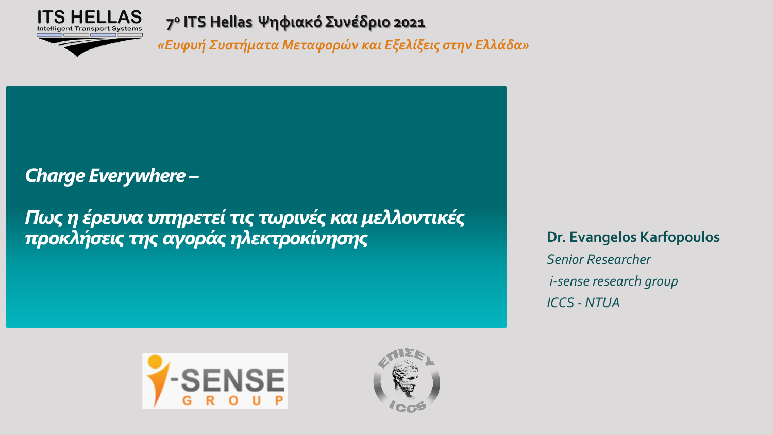

*«Ευφυή Συστήματα Μεταφορών και Εξελίξεις στην Ελλάδα»* 

## *Charge Everywhere –*

*Πως η έρευνα υπηρετεί τις τωρινές και μελλοντικές*  **προκλήσεις της αγοράς ηλεκτροκίνησης Dr. Evangelos Karfopoulos** 

*Senior Researcher i-sense research group ICCS - NTUA*



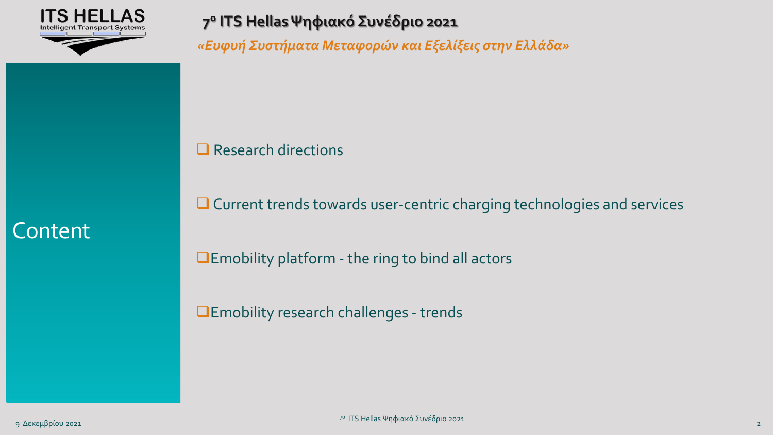

*«Ευφυή Συστήματα Μεταφορών και Εξελίξεις στην Ελλάδα»* 

❑ Research directions

❑ Current trends towards user-centric charging technologies and services

❑Emobility platform - the ring to bind all actors

❑Emobility research challenges - trends

**Content**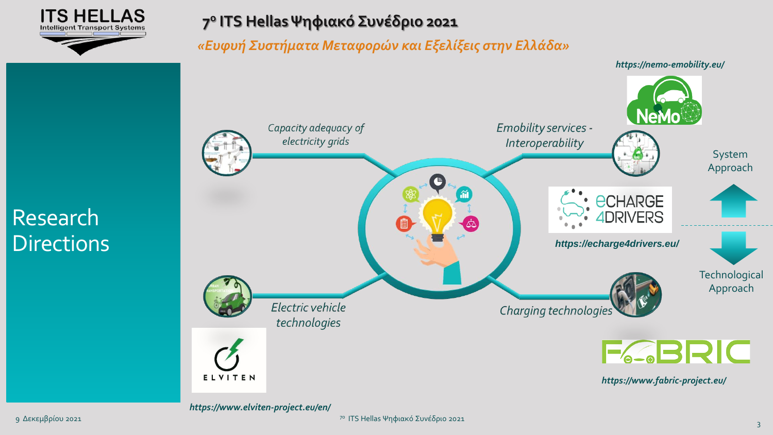

*«Ευφυή Συστήματα Μεταφορών και Εξελίξεις στην Ελλάδα»* 



*https://www.elviten-project.eu/en/*

Research

**Directions** 

7ο ITS Hellas Ψηφιακό Συνέδριο 2021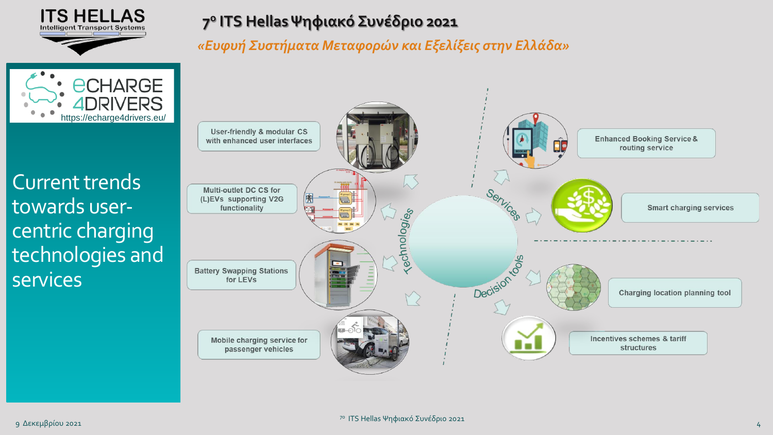

*«Ευφυή Συστήματα Μεταφορών και Εξελίξεις στην Ελλάδα»* 



Current trends towards usercentric charging technologies and **services**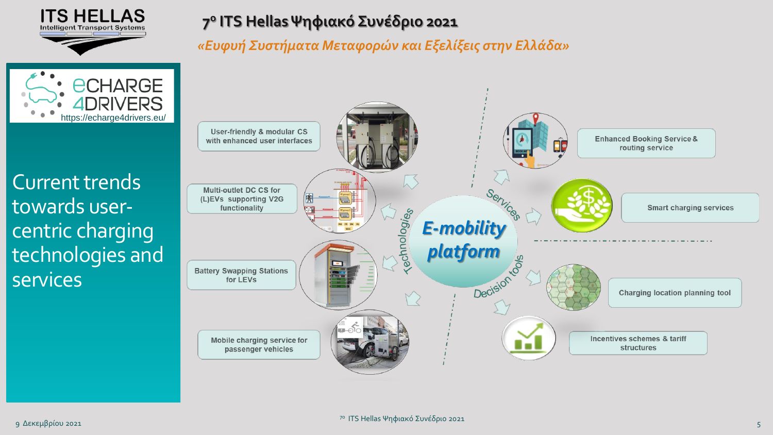

*«Ευφυή Συστήματα Μεταφορών και Εξελίξεις στην Ελλάδα»* 



Current trends towards usercentric charging technologies and services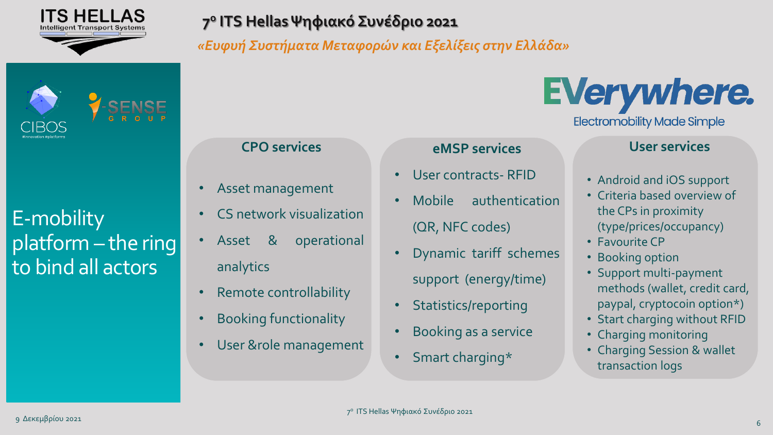

*«Ευφυή Συστήματα Μεταφορών και Εξελίξεις στην Ελλάδα»* 

# E-mobility platform – the ring to bind all actors

#### **CPO services**

- Asset management
- CS network visualization
- Asset & operational analytics
- Remote controllability
- Booking functionality
- User &role management

#### **eMSP services**

- User contracts- RFID
- Mobile authentication (QR, NFC codes)
- Dynamic tariff schemes support (energy/time)
- Statistics/reporting
- Booking as a service
- Smart charging\*

# **EVerywhere.**

**Electromobility Made Simple** 

#### **User services**

- Android and iOS support
- Criteria based overview of the CPs in proximity (type/prices/occupancy)
- Favourite CP
- Booking option
- Support multi-payment methods (wallet, credit card, paypal, cryptocoin option\*)
- Start charging without RFID
- Charging monitoring
- Charging Session & wallet transaction logs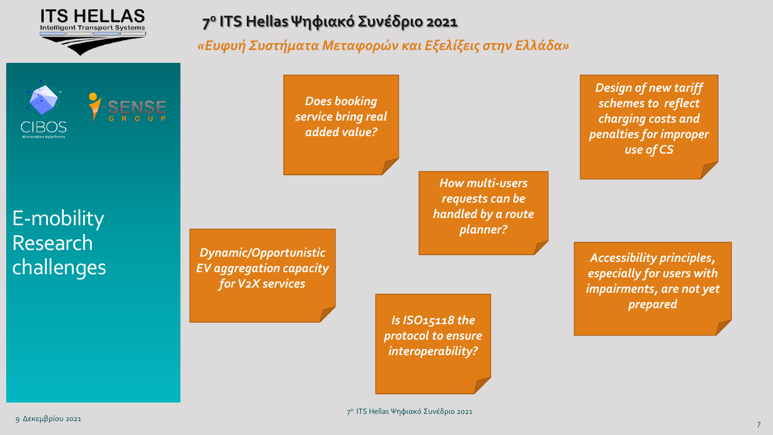

*«Ευφυή Συστήματα Μεταφορών και Εξελίξεις στην Ελλάδα»* 



E-mobility Research challenges

*Does booking service bring real added value?*

> *How multi-users requests can be handled by a route planner?*

*Design of new tariff schemes to reflect charging costs and penalties for improper use of CS*

*Accessibility principles, especially for users with impairments, are not yet prepared*

*Dynamic/Opportunistic EV aggregation capacity for V2X services*

> *Is ISO15118 the protocol to ensure interoperability?*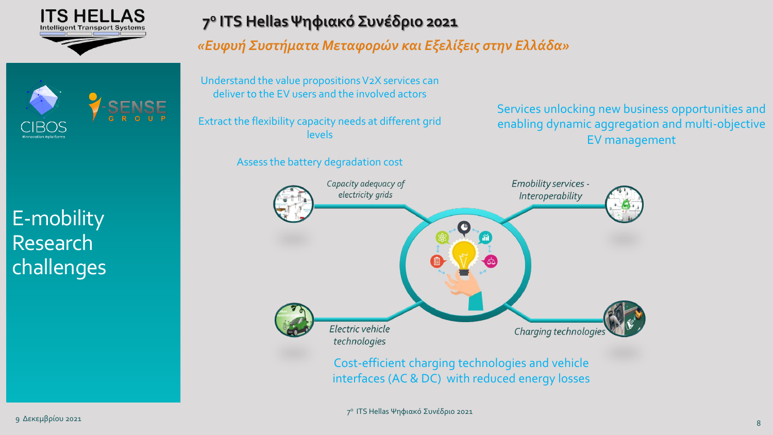

# E-mobility Research challenges

### **7 ο ITS Hellas Ψηφιακό Συνέδριο 2021**

*«Ευφυή Συστήματα Μεταφορών και Εξελίξεις στην Ελλάδα»* 

Understand the value propositions V2X services can deliver to the EV users and the involved actors

Extract the flexibility capacity needs at different grid levels

Assess the battery degradation cost

Services unlocking new business opportunities and enabling dynamic aggregation and multi-objective EV management